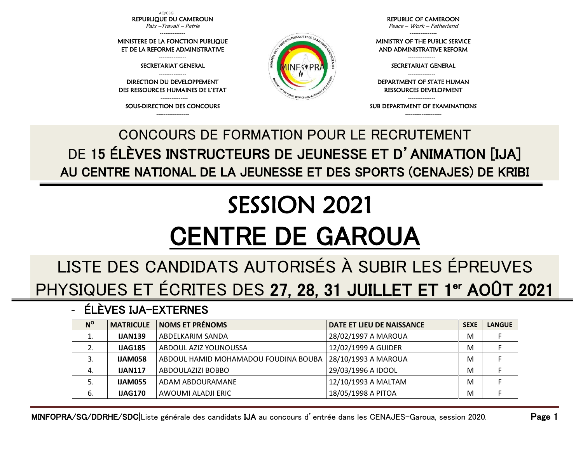AO/CBGI REPUBLIQUE DU CAMEROUN

Paix –Travail – Patrie --------------

MINISTERE DE LA FONCTION PUBLIQUE ET DE LA REFORME ADMINISTRATIVE

> --------------- SECRETARIAT GENERAL

--------------- DIRECTION DU DEVELOPPEMENT DES RESSOURCES HUMAINES DE L'ETAT

--------------- SOUS-DIRECTION DES CONCOURS ------------------

REPUBLIC OF CAMEROON Peace – Work – Fatherland

---------------

MINISTRY OF THE PUBLIC SERVICE AND ADMINISTRATIVE REFORM

> --------------- SECRETARIAT GENERAL

RESSOURCES DEVELOPMENT

SUB DEPARTMENT OF EXAMINATIONS --------------------

DEPARTMENT OF STATE HUMAN

---------------

---------------

## CONCOURS DE FORMATION POUR LE RECRUTEMENT DE 15 ÉLÈVES INSTRUCTEURS DE JEUNESSE ET D'ANIMATION [IJA] AU CENTRE NATIONAL DE LA JEUNESSE ET DES SPORTS (CENAJES) DE KRIBI

## SESSION 2021 CENTRE DE GAROUA

## LISTE DES CANDIDATS AUTORISÉS À SUBIR LES ÉPREUVES PHYSIQUES ET ÉCRITES DES 27, 28, 31 JUILLET ET 1<sup>er</sup> AOÛT 2021

- ÉLÈVES IJA-EXTERNES

| $N^{\rm o}$ | <b>MATRICULE</b> | <b>NOMS ET PRÉNOMS</b>               | DATE ET LIEU DE NAISSANCE | <b>SEXE</b> | <b>LANGUE</b> |
|-------------|------------------|--------------------------------------|---------------------------|-------------|---------------|
| ⊥.          | <b>IJAN139</b>   | ABDELKARIM SANDA                     | 28/02/1997 A MAROUA       | M           |               |
| 2.          | <b>IJAG185</b>   | ABDOUL AZIZ YOUNOUSSA                | 12/02/1999 A GUIDER       | M           |               |
| 3.          | <b>IJAM058</b>   | ABDOUL HAMID MOHAMADOU FOUDINA BOUBA | 28/10/1993 A MAROUA       | M           |               |
| 4.          | <b>IJAN117</b>   | ABDOULAZIZI BOBBO                    | 29/03/1996 A IDOOL        | M           |               |
|             | <b>IJAM055</b>   | ADAM ABDOURAMANE                     | 12/10/1993 A MALTAM       | M           |               |
| 6.          | <b>IJAG170</b>   | AWOUMI ALADJI ERIC                   | 18/05/1998 A PITOA        | M           |               |